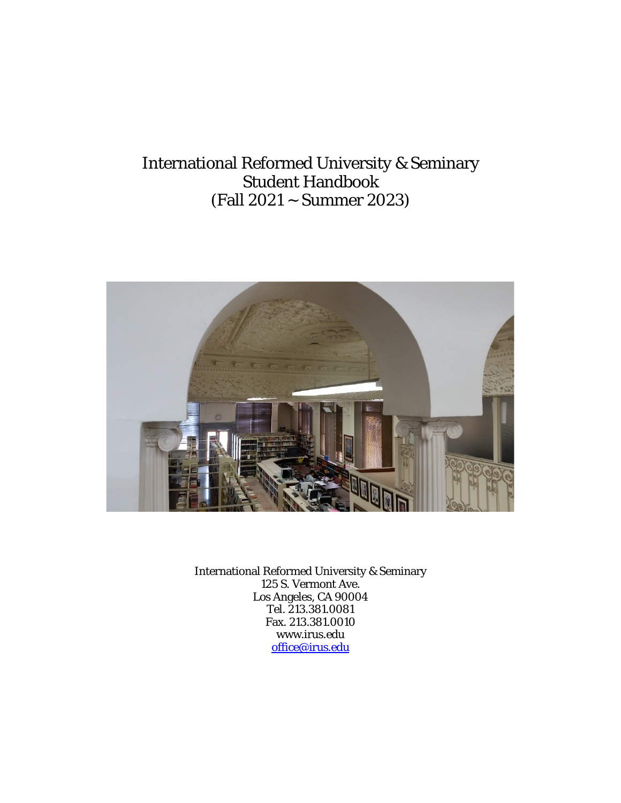## International Reformed University & Seminary Student Handbook (Fall 2021 ~ Summer 2023)



International Reformed University & Seminary 125 S. Vermont Ave. Los Angeles, CA 90004 Tel. 213.381.0081 Fax. 213.381.0010 www.irus.edu [office@irus.edu](mailto:office@irus.edu)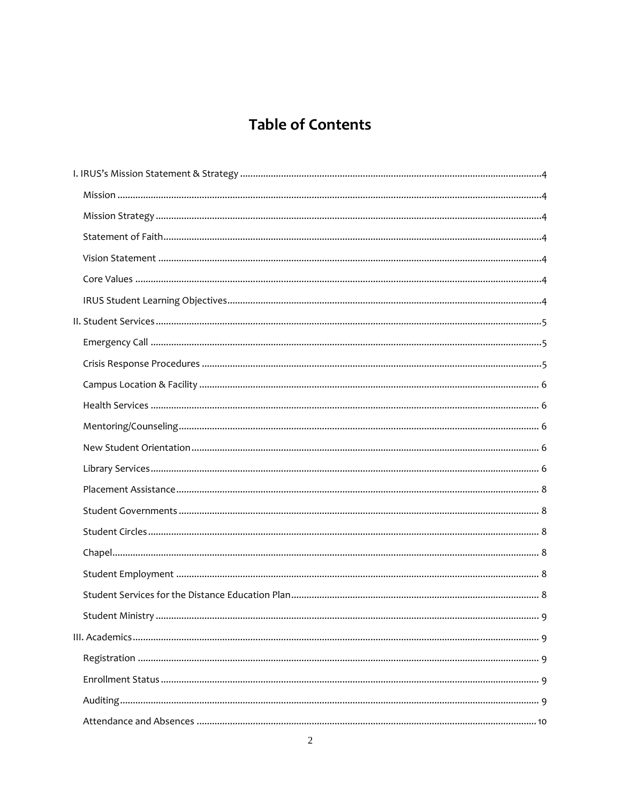# **Table of Contents**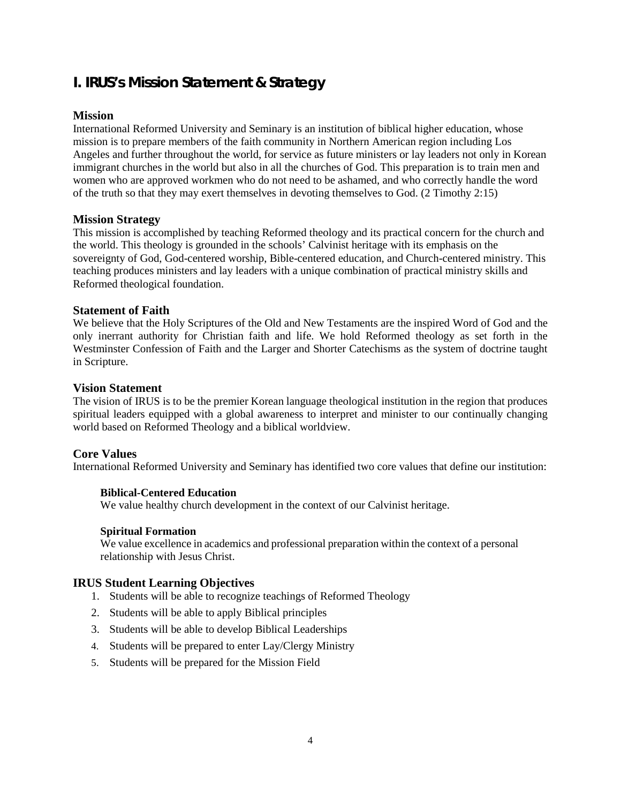## <span id="page-3-0"></span>**I. IRUS's Mission Statement & Strategy**

## <span id="page-3-1"></span>**Mission**

International Reformed University and Seminary is an institution of biblical higher education, whose mission is to prepare members of the faith community in Northern American region including Los Angeles and further throughout the world, for service as future ministers or lay leaders not only in Korean immigrant churches in the world but also in all the churches of God. This preparation is to train men and women who are approved workmen who do not need to be ashamed, and who correctly handle the word of the truth so that they may exert themselves in devoting themselves to God. (2 Timothy 2:15)

## <span id="page-3-2"></span>**Mission Strategy**

This mission is accomplished by teaching Reformed theology and its practical concern for the church and the world. This theology is grounded in the schools' Calvinist heritage with its emphasis on the sovereignty of God, God-centered worship, Bible-centered education, and Church-centered ministry. This teaching produces ministers and lay leaders with a unique combination of practical ministry skills and Reformed theological foundation.

## <span id="page-3-3"></span>**Statement of Faith**

We believe that the Holy Scriptures of the Old and New Testaments are the inspired Word of God and the only inerrant authority for Christian faith and life. We hold Reformed theology as set forth in the Westminster Confession of Faith and the Larger and Shorter Catechisms as the system of doctrine taught in Scripture.

## <span id="page-3-4"></span>**Vision Statement**

The vision of IRUS is to be the premier Korean language theological institution in the region that produces spiritual leaders equipped with a global awareness to interpret and minister to our continually changing world based on Reformed Theology and a biblical worldview.

## <span id="page-3-5"></span>**Core Values**

International Reformed University and Seminary has identified two core values that define our institution:

## **Biblical-Centered Education**

We value healthy church development in the context of our Calvinist heritage.

## **Spiritual Formation**

We value excellence in academics and professional preparation within the context of a personal relationship with Jesus Christ.

## <span id="page-3-6"></span>**IRUS Student Learning Objectives**

- 1. Students will be able to recognize teachings of Reformed Theology
- 2. Students will be able to apply Biblical principles
- 3. Students will be able to develop Biblical Leaderships
- 4. Students will be prepared to enter Lay/Clergy Ministry
- 5. Students will be prepared for the Mission Field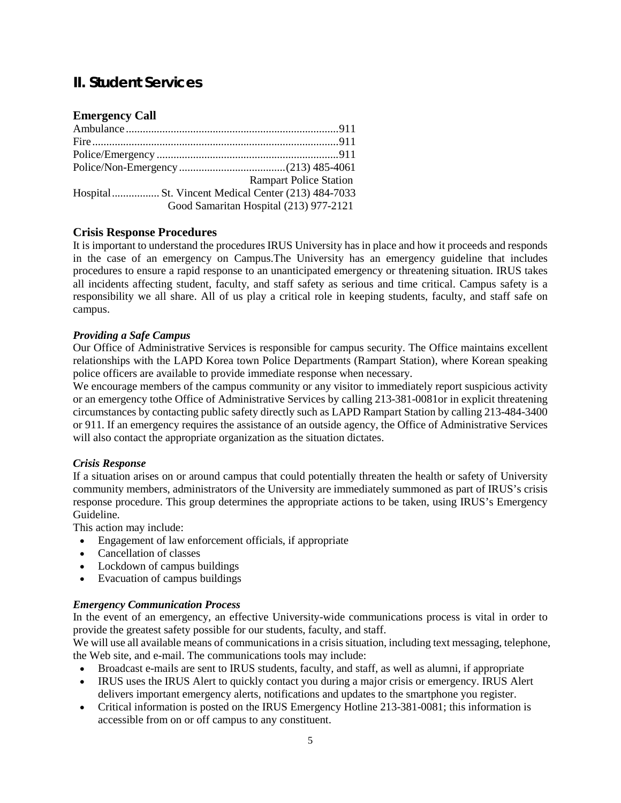## <span id="page-4-0"></span>**II. Student Services**

## <span id="page-4-1"></span>**Emergency Call**

| <b>Rampart Police Station</b>          |
|----------------------------------------|
|                                        |
| Good Samaritan Hospital (213) 977-2121 |

## <span id="page-4-2"></span>**Crisis Response Procedures**

It is important to understand the procedures IRUS University has in place and how it proceeds and responds in the case of an emergency on Campus.The University has an emergency guideline that includes procedures to ensure a rapid response to an unanticipated emergency or threatening situation. IRUS takes all incidents affecting student, faculty, and staff safety as serious and time critical. Campus safety is a responsibility we all share. All of us play a critical role in keeping students, faculty, and staff safe on campus.

## *Providing a Safe Campus*

Our Office of Administrative Services is responsible for campus security. The Office maintains excellent relationships with the LAPD Korea town Police Departments (Rampart Station), where Korean speaking police officers are available to provide immediate response when necessary.

We encourage members of the campus community or any visitor to immediately report suspicious activity or an emergency tothe Office of Administrative Services by calling 213-381-0081or in explicit threatening circumstances by contacting public safety directly such as LAPD Rampart Station by calling 213-484-3400 or 911. If an emergency requires the assistance of an outside agency, the Office of Administrative Services will also contact the appropriate organization as the situation dictates.

## *Crisis Response*

If a situation arises on or around campus that could potentially threaten the health or safety of University community members, administrators of the University are immediately summoned as part of IRUS's crisis response procedure. This group determines the appropriate actions to be taken, using IRUS's Emergency Guideline.

This action may include:

- Engagement of law enforcement officials, if appropriate
- Cancellation of classes
- Lockdown of campus buildings
- Evacuation of campus buildings

## *Emergency Communication Process*

In the event of an emergency, an effective University-wide communications process is vital in order to provide the greatest safety possible for our students, faculty, and staff.

We will use all available means of communications in a crisis situation, including text messaging, telephone, the Web site, and e-mail. The communications tools may include:

- Broadcast e-mails are sent to IRUS students, faculty, and staff, as well as alumni, if appropriate
- IRUS uses the IRUS Alert to quickly contact you during a major crisis or emergency. IRUS Alert delivers important emergency alerts, notifications and updates to the smartphone you register.
- Critical information is posted on the IRUS Emergency Hotline 213-381-0081; this information is accessible from on or off campus to any constituent.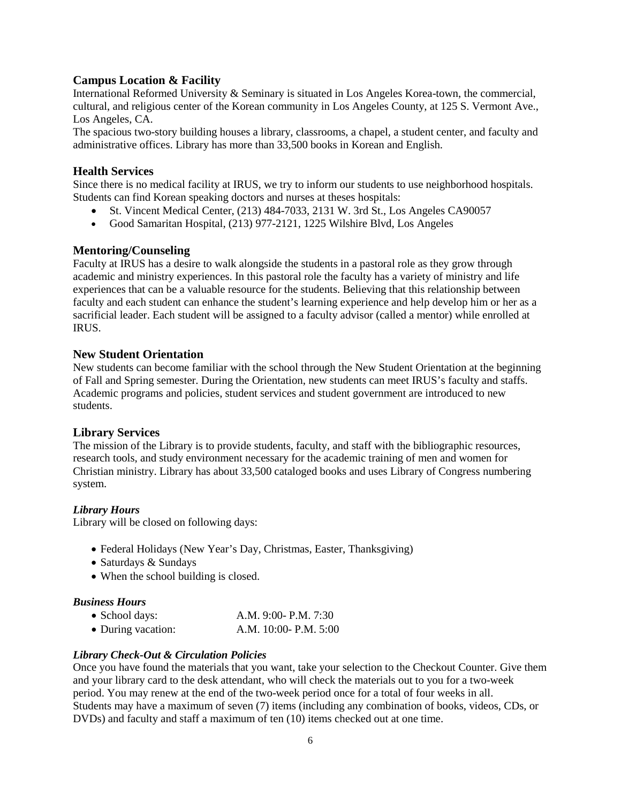## <span id="page-5-0"></span>**Campus Location & Facility**

International Reformed University & Seminary is situated in Los Angeles Korea-town, the commercial, cultural, and religious center of the Korean community in Los Angeles County, at 125 S. Vermont Ave., Los Angeles, CA.

The spacious two-story building houses a library, classrooms, a chapel, a student center, and faculty and administrative offices. Library has more than 33,500 books in Korean and English.

### <span id="page-5-1"></span>**Health Services**

Since there is no medical facility at IRUS, we try to inform our students to use neighborhood hospitals. Students can find Korean speaking doctors and nurses at theses hospitals:

- St. Vincent Medical Center, (213) 484-7033, 2131 W. 3rd St., Los Angeles CA90057
- Good Samaritan Hospital, (213) 977-2121, 1225 Wilshire Blvd, Los Angeles

## <span id="page-5-2"></span>**Mentoring/Counseling**

Faculty at IRUS has a desire to walk alongside the students in a pastoral role as they grow through academic and ministry experiences. In this pastoral role the faculty has a variety of ministry and life experiences that can be a valuable resource for the students. Believing that this relationship between faculty and each student can enhance the student's learning experience and help develop him or her as a sacrificial leader. Each student will be assigned to a faculty advisor (called a mentor) while enrolled at IRUS.

### <span id="page-5-3"></span>**New Student Orientation**

New students can become familiar with the school through the New Student Orientation at the beginning of Fall and Spring semester. During the Orientation, new students can meet IRUS's faculty and staffs. Academic programs and policies, student services and student government are introduced to new students.

## <span id="page-5-4"></span>**Library Services**

The mission of the Library is to provide students, faculty, and staff with the bibliographic resources, research tools, and study environment necessary for the academic training of men and women for Christian ministry. Library has about 33,500 cataloged books and uses Library of Congress numbering system.

#### *Library Hours*

Library will be closed on following days:

- Federal Holidays (New Year's Day, Christmas, Easter, Thanksgiving)
- Saturdays & Sundays
- When the school building is closed.

#### *Business Hours*

| • School days:     | A.M. 9:00- P.M. 7:30     |
|--------------------|--------------------------|
| • During vacation: | A.M. $10:00 - P.M. 5:00$ |

#### *Library Check-Out & Circulation Policies*

Once you have found the materials that you want, take your selection to the Checkout Counter. Give them and your library card to the desk attendant, who will check the materials out to you for a two-week period. You may renew at the end of the two-week period once for a total of four weeks in all. Students may have a maximum of seven (7) items (including any combination of books, videos, CDs, or DVDs) and faculty and staff a maximum of ten (10) items checked out at one time.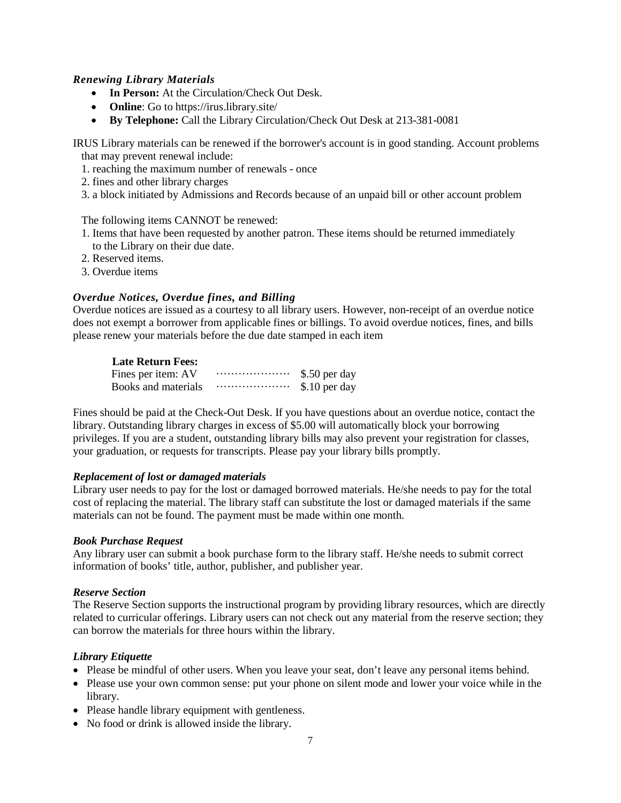## *Renewing Library Materials*

- **In Person:** At the Circulation/Check Out Desk.
- **Online**: Go to https://irus.library.site/
- **By Telephone:** Call the Library Circulation/Check Out Desk at 213-381-0081

IRUS Library materials can be renewed if the borrower's account is in good standing. Account problems that may prevent renewal include:

- 1. reaching the maximum number of renewals once
- 2. fines and other library charges
- 3. a block initiated by Admissions and Records because of an unpaid bill or other account problem

The following items CANNOT be renewed:

- 1. Items that have been requested by another patron. These items should be returned immediately to the Library on their due date.
- 2. Reserved items.
- 3. Overdue items

## *Overdue Notices, Overdue fines, and Billing*

Overdue notices are issued as a courtesy to all library users. However, non-receipt of an overdue notice does not exempt a borrower from applicable fines or billings. To avoid overdue notices, fines, and bills please renew your materials before the due date stamped in each item

### **Late Return Fees:**

| Fines per item: AV  | \$.50 per day |
|---------------------|---------------|
| Books and materials | \$.10 per day |

Fines should be paid at the Check-Out Desk. If you have questions about an overdue notice, contact the library. Outstanding library charges in excess of \$5.00 will automatically block your borrowing privileges. If you are a student, outstanding library bills may also prevent your registration for classes, your graduation, or requests for transcripts. Please pay your library bills promptly.

#### *Replacement of lost or damaged materials*

Library user needs to pay for the lost or damaged borrowed materials. He/she needs to pay for the total cost of replacing the material. The library staff can substitute the lost or damaged materials if the same materials can not be found. The payment must be made within one month.

#### *Book Purchase Request*

Any library user can submit a book purchase form to the library staff. He/she needs to submit correct information of books' title, author, publisher, and publisher year.

#### *Reserve Section*

The Reserve Section supports the instructional program by providing library resources, which are directly related to curricular offerings. Library users can not check out any material from the reserve section; they can borrow the materials for three hours within the library.

## *Library Etiquette*

- Please be mindful of other users. When you leave your seat, don't leave any personal items behind.
- Please use your own common sense: put your phone on silent mode and lower your voice while in the library.
- Please handle library equipment with gentleness.
- No food or drink is allowed inside the library.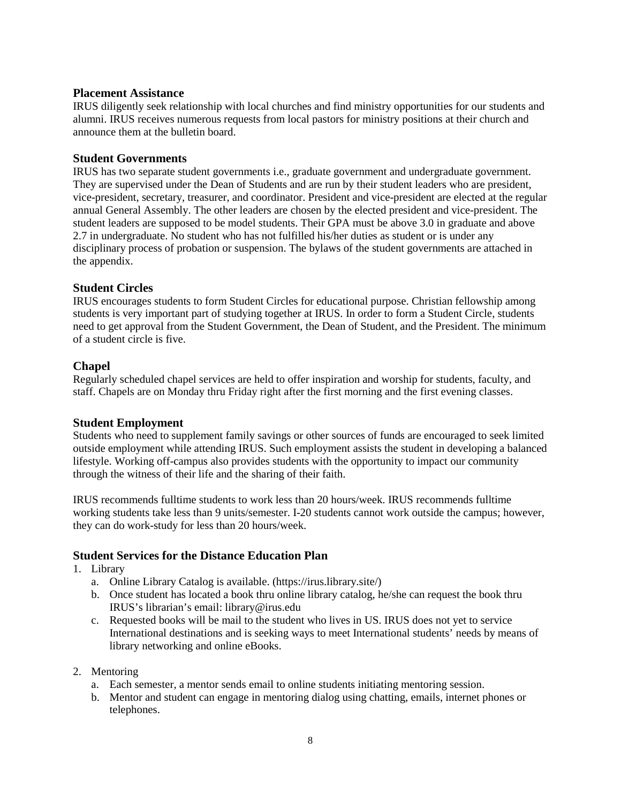### <span id="page-7-0"></span>**Placement Assistance**

IRUS diligently seek relationship with local churches and find ministry opportunities for our students and alumni. IRUS receives numerous requests from local pastors for ministry positions at their church and announce them at the bulletin board.

## <span id="page-7-1"></span>**Student Governments**

IRUS has two separate student governments i.e., graduate government and undergraduate government. They are supervised under the Dean of Students and are run by their student leaders who are president, vice-president, secretary, treasurer, and coordinator. President and vice-president are elected at the regular annual General Assembly. The other leaders are chosen by the elected president and vice-president. The student leaders are supposed to be model students. Their GPA must be above 3.0 in graduate and above 2.7 in undergraduate. No student who has not fulfilled his/her duties as student or is under any disciplinary process of probation or suspension. The bylaws of the student governments are attached in the appendix.

## <span id="page-7-2"></span>**Student Circles**

IRUS encourages students to form Student Circles for educational purpose. Christian fellowship among students is very important part of studying together at IRUS. In order to form a Student Circle, students need to get approval from the Student Government, the Dean of Student, and the President. The minimum of a student circle is five.

## <span id="page-7-3"></span>**Chapel**

Regularly scheduled chapel services are held to offer inspiration and worship for students, faculty, and staff. Chapels are on Monday thru Friday right after the first morning and the first evening classes.

## <span id="page-7-4"></span>**Student Employment**

Students who need to supplement family savings or other sources of funds are encouraged to seek limited outside employment while attending IRUS. Such employment assists the student in developing a balanced lifestyle. Working off-campus also provides students with the opportunity to impact our community through the witness of their life and the sharing of their faith.

IRUS recommends fulltime students to work less than 20 hours/week. IRUS recommends fulltime working students take less than 9 units/semester. I-20 students cannot work outside the campus; however, they can do work-study for less than 20 hours/week.

## <span id="page-7-5"></span>**Student Services for the Distance Education Plan**

- 1. Library
	- a. Online Library Catalog is available. (https://irus.library.site/)
	- b. Once student has located a book thru online library catalog, he/she can request the book thru IRUS's librarian's email: library@irus.edu
	- c. Requested books will be mail to the student who lives in US. IRUS does not yet to service International destinations and is seeking ways to meet International students' needs by means of library networking and online eBooks.
- 2. Mentoring
	- a. Each semester, a mentor sends email to online students initiating mentoring session.
	- b. Mentor and student can engage in mentoring dialog using chatting, emails, internet phones or telephones.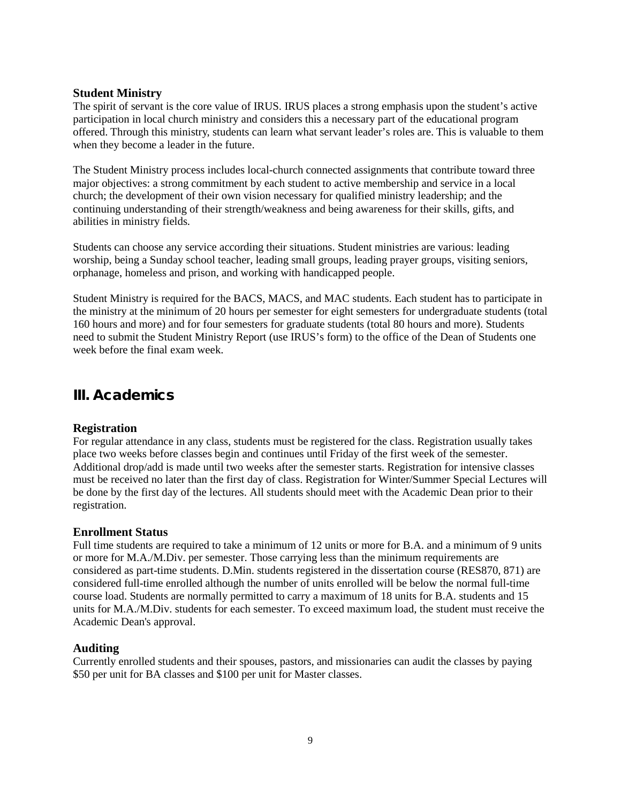## <span id="page-8-0"></span>**Student Ministry**

The spirit of servant is the core value of IRUS. IRUS places a strong emphasis upon the student's active participation in local church ministry and considers this a necessary part of the educational program offered. Through this ministry, students can learn what servant leader's roles are. This is valuable to them when they become a leader in the future.

The Student Ministry process includes local-church connected assignments that contribute toward three major objectives: a strong commitment by each student to active membership and service in a local church; the development of their own vision necessary for qualified ministry leadership; and the continuing understanding of their strength/weakness and being awareness for their skills, gifts, and abilities in ministry fields.

Students can choose any service according their situations. Student ministries are various: leading worship, being a Sunday school teacher, leading small groups, leading prayer groups, visiting seniors, orphanage, homeless and prison, and working with handicapped people.

Student Ministry is required for the BACS, MACS, and MAC students. Each student has to participate in the ministry at the minimum of 20 hours per semester for eight semesters for undergraduate students (total 160 hours and more) and for four semesters for graduate students (total 80 hours and more). Students need to submit the Student Ministry Report (use IRUS's form) to the office of the Dean of Students one week before the final exam week.

## <span id="page-8-1"></span>**III. Academics**

## <span id="page-8-2"></span>**Registration**

For regular attendance in any class, students must be registered for the class. Registration usually takes place two weeks before classes begin and continues until Friday of the first week of the semester. Additional drop/add is made until two weeks after the semester starts. Registration for intensive classes must be received no later than the first day of class. Registration for Winter/Summer Special Lectures will be done by the first day of the lectures. All students should meet with the Academic Dean prior to their registration.

## <span id="page-8-3"></span>**Enrollment Status**

Full time students are required to take a minimum of 12 units or more for B.A. and a minimum of 9 units or more for M.A./M.Div. per semester. Those carrying less than the minimum requirements are considered as part-time students. D.Min. students registered in the dissertation course (RES870, 871) are considered full-time enrolled although the number of units enrolled will be below the normal full-time course load. Students are normally permitted to carry a maximum of 18 units for B.A. students and 15 units for M.A./M.Div. students for each semester. To exceed maximum load, the student must receive the Academic Dean's approval.

## <span id="page-8-4"></span>**Auditing**

<span id="page-8-5"></span>Currently enrolled students and their spouses, pastors, and missionaries can audit the classes by paying \$50 per unit for BA classes and \$100 per unit for Master classes.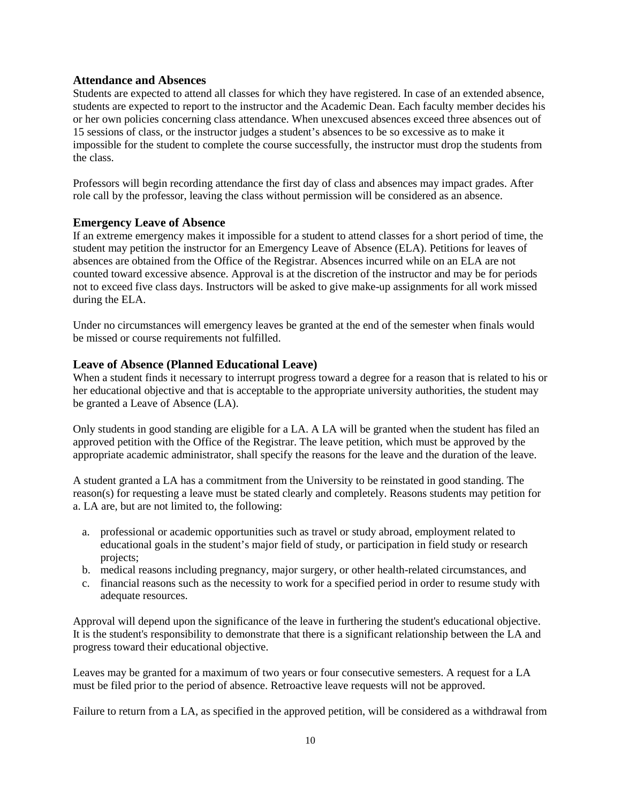## **Attendance and Absences**

Students are expected to attend all classes for which they have registered. In case of an extended absence, students are expected to report to the instructor and the Academic Dean. Each faculty member decides his or her own policies concerning class attendance. When unexcused absences exceed three absences out of 15 sessions of class, or the instructor judges a student's absences to be so excessive as to make it impossible for the student to complete the course successfully, the instructor must drop the students from the class.

Professors will begin recording attendance the first day of class and absences may impact grades. After role call by the professor, leaving the class without permission will be considered as an absence.

### <span id="page-9-0"></span>**Emergency Leave of Absence**

If an extreme emergency makes it impossible for a student to attend classes for a short period of time, the student may petition the instructor for an Emergency Leave of Absence (ELA). Petitions for leaves of absences are obtained from the Office of the Registrar. Absences incurred while on an ELA are not counted toward excessive absence. Approval is at the discretion of the instructor and may be for periods not to exceed five class days. Instructors will be asked to give make-up assignments for all work missed during the ELA.

Under no circumstances will emergency leaves be granted at the end of the semester when finals would be missed or course requirements not fulfilled.

#### <span id="page-9-1"></span>**Leave of Absence (Planned Educational Leave)**

When a student finds it necessary to interrupt progress toward a degree for a reason that is related to his or her educational objective and that is acceptable to the appropriate university authorities, the student may be granted a Leave of Absence (LA).

Only students in good standing are eligible for a LA. A LA will be granted when the student has filed an approved petition with the Office of the Registrar. The leave petition, which must be approved by the appropriate academic administrator, shall specify the reasons for the leave and the duration of the leave.

A student granted a LA has a commitment from the University to be reinstated in good standing. The reason(s) for requesting a leave must be stated clearly and completely. Reasons students may petition for a. LA are, but are not limited to, the following:

- a. professional or academic opportunities such as travel or study abroad, employment related to educational goals in the student's major field of study, or participation in field study or research projects;
- b. medical reasons including pregnancy, major surgery, or other health-related circumstances, and
- c. financial reasons such as the necessity to work for a specified period in order to resume study with adequate resources.

Approval will depend upon the significance of the leave in furthering the student's educational objective. It is the student's responsibility to demonstrate that there is a significant relationship between the LA and progress toward their educational objective.

Leaves may be granted for a maximum of two years or four consecutive semesters. A request for a LA must be filed prior to the period of absence. Retroactive leave requests will not be approved.

Failure to return from a LA, as specified in the approved petition, will be considered as a withdrawal from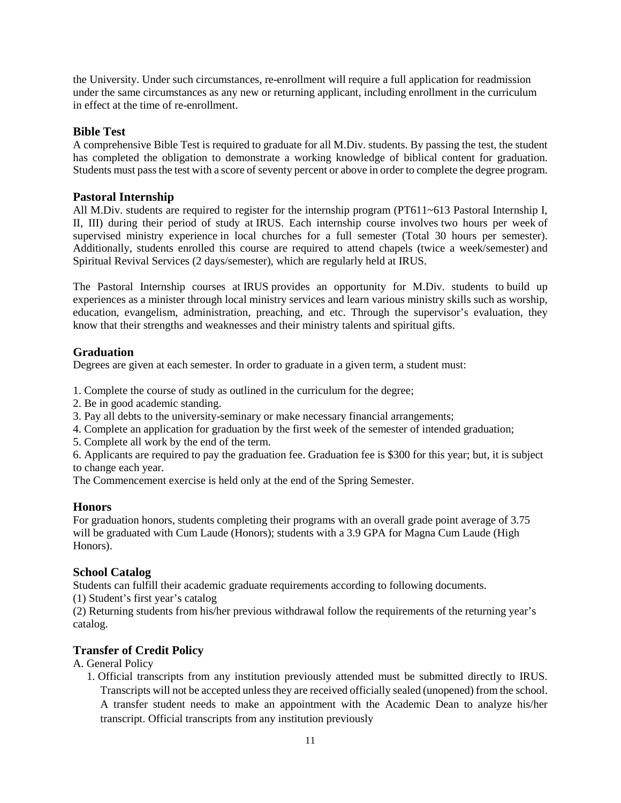the University. Under such circumstances, re-enrollment will require a full application for readmission under the same circumstances as any new or returning applicant, including enrollment in the curriculum in effect at the time of re-enrollment.

## <span id="page-10-0"></span>**Bible Test**

A comprehensive Bible Test is required to graduate for all M.Div. students. By passing the test, the student has completed the obligation to demonstrate a working knowledge of biblical content for graduation. Students must pass the test with a score of seventy percent or above in order to complete the degree program.

## <span id="page-10-1"></span>**Pastoral Internship**

All M.Div. students are required to register for the internship program (PT611~613 Pastoral Internship I, II, III) during their period of study at IRUS. Each internship course involves two hours per week of supervised ministry experience in local churches for a full semester (Total 30 hours per semester). Additionally, students enrolled this course are required to attend chapels (twice a week/semester) and Spiritual Revival Services (2 days/semester), which are regularly held at IRUS.

The Pastoral Internship courses at IRUS provides an opportunity for M.Div. students to build up experiences as a minister through local ministry services and learn various ministry skills such as worship, education, evangelism, administration, preaching, and etc. Through the supervisor's evaluation, they know that their strengths and weaknesses and their ministry talents and spiritual gifts.

## <span id="page-10-2"></span>**Graduation**

Degrees are given at each semester. In order to graduate in a given term, a student must:

1. Complete the course of study as outlined in the curriculum for the degree;

- 2. Be in good academic standing.
- 3. Pay all debts to the university-seminary or make necessary financial arrangements;
- 4. Complete an application for graduation by the first week of the semester of intended graduation;
- 5. Complete all work by the end of the term.

6. Applicants are required to pay the graduation fee. Graduation fee is \$300 for this year; but, it is subject to change each year.

The Commencement exercise is held only at the end of the Spring Semester.

## <span id="page-10-3"></span>**Honors**

For graduation honors, students completing their programs with an overall grade point average of 3.75 will be graduated with Cum Laude (Honors); students with a 3.9 GPA for Magna Cum Laude (High Honors).

## <span id="page-10-4"></span>**School Catalog**

Students can fulfill their academic graduate requirements according to following documents.

(1) Student's first year's catalog

(2) Returning students from his/her previous withdrawal follow the requirements of the returning year's catalog.

## <span id="page-10-5"></span>**Transfer of Credit Policy**

## A. General Policy

1. Official transcripts from any institution previously attended must be submitted directly to IRUS. Transcripts will not be accepted unless they are received officially sealed (unopened) from the school. A transfer student needs to make an appointment with the Academic Dean to analyze his/her transcript. Official transcripts from any institution previously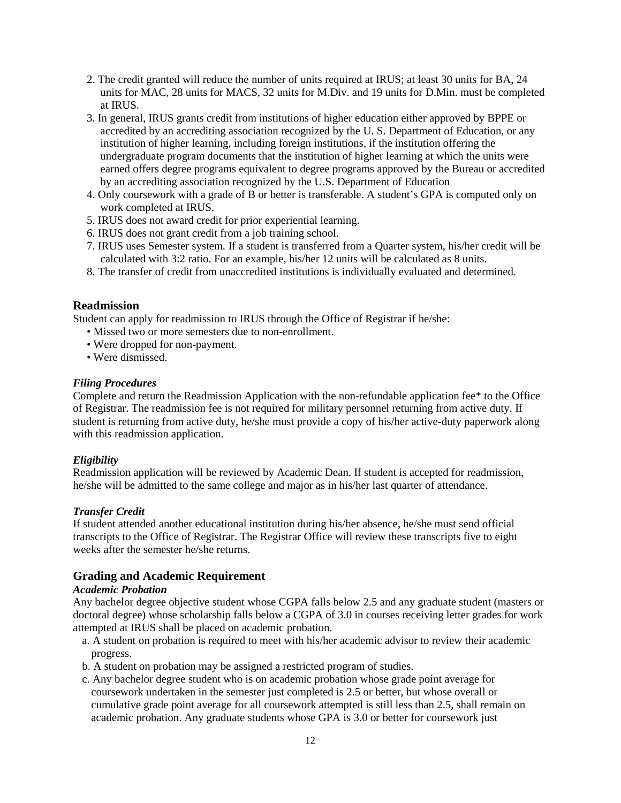- 2. The credit granted will reduce the number of units required at IRUS; at least 30 units for BA, 24 units for MAC, 28 units for MACS, 32 units for M.Div. and 19 units for D.Min. must be completed at IRUS.
- 3. In general, IRUS grants credit from institutions of higher education either approved by BPPE or accredited by an accrediting association recognized by the U. S. Department of Education, or any institution of higher learning, including foreign institutions, if the institution offering the undergraduate program documents that the institution of higher learning at which the units were earned offers degree programs equivalent to degree programs approved by the Bureau or accredited by an accrediting association recognized by the U.S. Department of Education
- 4. Only coursework with a grade of B or better is transferable. A student's GPA is computed only on work completed at IRUS.
- 5. IRUS does not award credit for prior experiential learning.
- 6. IRUS does not grant credit from a job training school.
- 7. IRUS uses Semester system. If a student is transferred from a Quarter system, his/her credit will be calculated with 3:2 ratio. For an example, his/her 12 units will be calculated as 8 units.
- 8. The transfer of credit from unaccredited institutions is individually evaluated and determined.

#### <span id="page-11-0"></span>**Readmission**

Student can apply for readmission to IRUS through the Office of Registrar if he/she:

- Missed two or more semesters due to non-enrollment.
- Were dropped for non-payment.
- Were dismissed.

#### *Filing Procedures*

Complete and return the Readmission Application with the non-refundable application fee\* to the Office of Registrar. The readmission fee is not required for military personnel returning from active duty. If student is returning from active duty, he/she must provide a copy of his/her active-duty paperwork along with this readmission application.

#### *Eligibility*

Readmission application will be reviewed by Academic Dean. If student is accepted for readmission, he/she will be admitted to the same college and major as in his/her last quarter of attendance.

#### *Transfer Credit*

If student attended another educational institution during his/her absence, he/she must send official transcripts to the Office of Registrar. The Registrar Office will review these transcripts five to eight weeks after the semester he/she returns.

## <span id="page-11-1"></span>**Grading and Academic Requirement**

#### *Academic Probation*

Any bachelor degree objective student whose CGPA falls below 2.5 and any graduate student (masters or doctoral degree) whose scholarship falls below a CGPA of 3.0 in courses receiving letter grades for work attempted at IRUS shall be placed on academic probation.

- a. A student on probation is required to meet with his/her academic advisor to review their academic progress.
- b. A student on probation may be assigned a restricted program of studies.
- c. Any bachelor degree student who is on academic probation whose grade point average for coursework undertaken in the semester just completed is 2.5 or better, but whose overall or cumulative grade point average for all coursework attempted is still less than 2.5, shall remain on academic probation. Any graduate students whose GPA is 3.0 or better for coursework just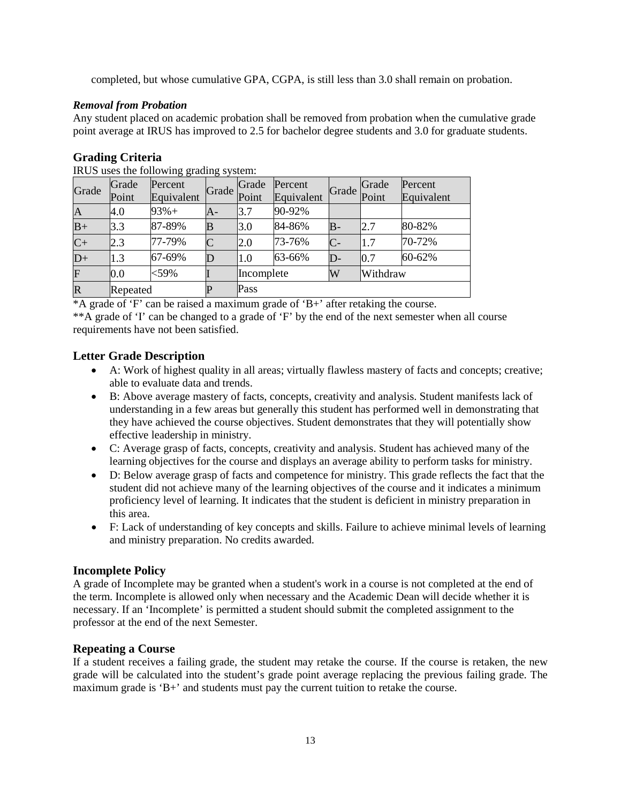completed, but whose cumulative GPA, CGPA, is still less than 3.0 shall remain on probation.

## *Removal from Probation*

Any student placed on academic probation shall be removed from probation when the cumulative grade point average at IRUS has improved to 2.5 for bachelor degree students and 3.0 for graduate students.

## <span id="page-12-0"></span>**Grading Criteria**

| Grade                   | Grade<br>Point | - -<br>Percent<br>Equivalent | Grade          | Grade<br>Point | Percent<br>Equivalent | Grade | Grade<br>Point | Percent<br>Equivalent |  |
|-------------------------|----------------|------------------------------|----------------|----------------|-----------------------|-------|----------------|-----------------------|--|
| $\boldsymbol{A}$        | 4.0            | $93% +$                      | A-             | l3.7           | 90-92%                |       |                |                       |  |
| $B+$                    | 3.3            | 87-89%                       | B              | 3.0            | 84-86%                | $B-$  | 2.7            | 80-82%                |  |
| $C+$                    | 2.3            | 77-79%                       | $\overline{C}$ | 2.0            | 73-76%                | $C-$  | 1.7            | 70-72%                |  |
| $D+$                    | 1.3            | 67-69%                       |                | 1.0            | 63-66%                | D-    | 0.7            | 60-62%                |  |
| $\overline{\mathrm{F}}$ | 0.0            | $<$ 59%                      |                | Incomplete     |                       | W     | Withdraw       |                       |  |
| $\mathbf R$             | Repeated       |                              |                | Pass           |                       |       |                |                       |  |

IRUS uses the following grading system:

\*A grade of 'F' can be raised a maximum grade of 'B+' after retaking the course.

\*\*A grade of 'I' can be changed to a grade of 'F' by the end of the next semester when all course requirements have not been satisfied.

## <span id="page-12-1"></span>**Letter Grade Description**

- A: Work of highest quality in all areas; virtually flawless mastery of facts and concepts; creative; able to evaluate data and trends.
- B: Above average mastery of facts, concepts, creativity and analysis. Student manifests lack of understanding in a few areas but generally this student has performed well in demonstrating that they have achieved the course objectives. Student demonstrates that they will potentially show effective leadership in ministry.
- C: Average grasp of facts, concepts, creativity and analysis. Student has achieved many of the learning objectives for the course and displays an average ability to perform tasks for ministry.
- D: Below average grasp of facts and competence for ministry. This grade reflects the fact that the student did not achieve many of the learning objectives of the course and it indicates a minimum proficiency level of learning. It indicates that the student is deficient in ministry preparation in this area.
- F: Lack of understanding of key concepts and skills. Failure to achieve minimal levels of learning and ministry preparation. No credits awarded.

## <span id="page-12-2"></span>**Incomplete Policy**

A grade of Incomplete may be granted when a student's work in a course is not completed at the end of the term. Incomplete is allowed only when necessary and the Academic Dean will decide whether it is necessary. If an 'Incomplete' is permitted a student should submit the completed assignment to the professor at the end of the next Semester.

## <span id="page-12-3"></span>**Repeating a Course**

If a student receives a failing grade, the student may retake the course. If the course is retaken, the new grade will be calculated into the student's grade point average replacing the previous failing grade. The maximum grade is 'B+' and students must pay the current tuition to retake the course.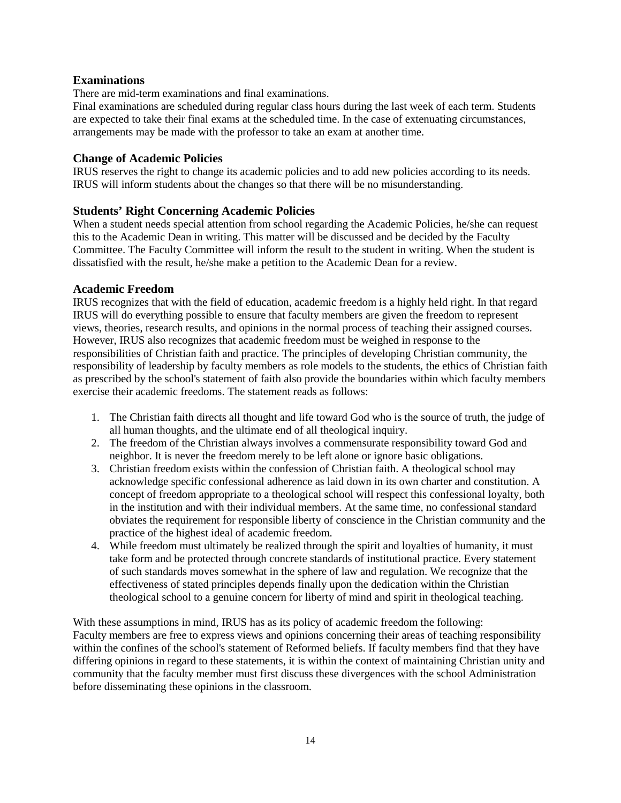## <span id="page-13-0"></span>**Examinations**

There are mid-term examinations and final examinations.

Final examinations are scheduled during regular class hours during the last week of each term. Students are expected to take their final exams at the scheduled time. In the case of extenuating circumstances, arrangements may be made with the professor to take an exam at another time.

## <span id="page-13-1"></span>**Change of Academic Policies**

IRUS reserves the right to change its academic policies and to add new policies according to its needs. IRUS will inform students about the changes so that there will be no misunderstanding.

## <span id="page-13-2"></span>**Students' Right Concerning Academic Policies**

When a student needs special attention from school regarding the Academic Policies, he/she can request this to the Academic Dean in writing. This matter will be discussed and be decided by the Faculty Committee. The Faculty Committee will inform the result to the student in writing. When the student is dissatisfied with the result, he/she make a petition to the Academic Dean for a review.

## <span id="page-13-3"></span>**Academic Freedom**

IRUS recognizes that with the field of education, academic freedom is a highly held right. In that regard IRUS will do everything possible to ensure that faculty members are given the freedom to represent views, theories, research results, and opinions in the normal process of teaching their assigned courses. However, IRUS also recognizes that academic freedom must be weighed in response to the responsibilities of Christian faith and practice. The principles of developing Christian community, the responsibility of leadership by faculty members as role models to the students, the ethics of Christian faith as prescribed by the school's statement of faith also provide the boundaries within which faculty members exercise their academic freedoms. The statement reads as follows:

- 1. The Christian faith directs all thought and life toward God who is the source of truth, the judge of all human thoughts, and the ultimate end of all theological inquiry.
- 2. The freedom of the Christian always involves a commensurate responsibility toward God and neighbor. It is never the freedom merely to be left alone or ignore basic obligations.
- 3. Christian freedom exists within the confession of Christian faith. A theological school may acknowledge specific confessional adherence as laid down in its own charter and constitution. A concept of freedom appropriate to a theological school will respect this confessional loyalty, both in the institution and with their individual members. At the same time, no confessional standard obviates the requirement for responsible liberty of conscience in the Christian community and the practice of the highest ideal of academic freedom.
- 4. While freedom must ultimately be realized through the spirit and loyalties of humanity, it must take form and be protected through concrete standards of institutional practice. Every statement of such standards moves somewhat in the sphere of law and regulation. We recognize that the effectiveness of stated principles depends finally upon the dedication within the Christian theological school to a genuine concern for liberty of mind and spirit in theological teaching.

With these assumptions in mind, IRUS has as its policy of academic freedom the following: Faculty members are free to express views and opinions concerning their areas of teaching responsibility within the confines of the school's statement of Reformed beliefs. If faculty members find that they have differing opinions in regard to these statements, it is within the context of maintaining Christian unity and community that the faculty member must first discuss these divergences with the school Administration before disseminating these opinions in the classroom.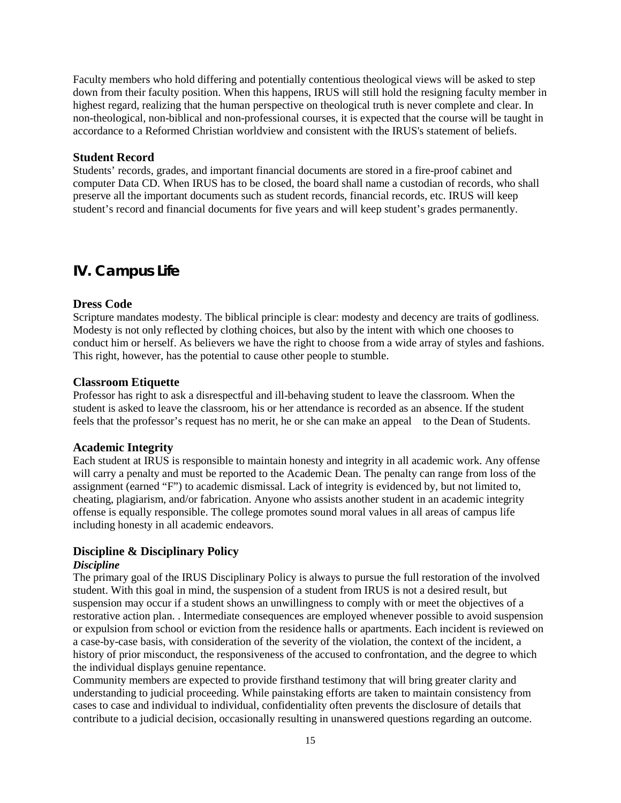Faculty members who hold differing and potentially contentious theological views will be asked to step down from their faculty position. When this happens, IRUS will still hold the resigning faculty member in highest regard, realizing that the human perspective on theological truth is never complete and clear. In non-theological, non-biblical and non-professional courses, it is expected that the course will be taught in accordance to a Reformed Christian worldview and consistent with the IRUS's statement of beliefs.

#### <span id="page-14-0"></span>**Student Record**

Students' records, grades, and important financial documents are stored in a fire-proof cabinet and computer Data CD. When IRUS has to be closed, the board shall name a custodian of records, who shall preserve all the important documents such as student records, financial records, etc. IRUS will keep student's record and financial documents for five years and will keep student's grades permanently.

## <span id="page-14-1"></span>**IV. Campus Life**

#### <span id="page-14-2"></span>**Dress Code**

Scripture mandates modesty. The biblical principle is clear: modesty and decency are traits of godliness. Modesty is not only reflected by clothing choices, but also by the intent with which one chooses to conduct him or herself. As believers we have the right to choose from a wide array of styles and fashions. This right, however, has the potential to cause other people to stumble.

#### <span id="page-14-3"></span>**Classroom Etiquette**

Professor has right to ask a disrespectful and ill-behaving student to leave the classroom. When the student is asked to leave the classroom, his or her attendance is recorded as an absence. If the student feels that the professor's request has no merit, he or she can make an appeal to the Dean of Students.

#### <span id="page-14-4"></span>**Academic Integrity**

Each student at IRUS is responsible to maintain honesty and integrity in all academic work. Any offense will carry a penalty and must be reported to the Academic Dean. The penalty can range from loss of the assignment (earned "F") to academic dismissal. Lack of integrity is evidenced by, but not limited to, cheating, plagiarism, and/or fabrication. Anyone who assists another student in an academic integrity offense is equally responsible. The college promotes sound moral values in all areas of campus life including honesty in all academic endeavors.

## <span id="page-14-5"></span>**Discipline & Disciplinary Policy**

### *Discipline*

The primary goal of the IRUS Disciplinary Policy is always to pursue the full restoration of the involved student. With this goal in mind, the suspension of a student from IRUS is not a desired result, but suspension may occur if a student shows an unwillingness to comply with or meet the objectives of a restorative action plan. . Intermediate consequences are employed whenever possible to avoid suspension or expulsion from school or eviction from the residence halls or apartments. Each incident is reviewed on a case-by-case basis, with consideration of the severity of the violation, the context of the incident, a history of prior misconduct, the responsiveness of the accused to confrontation, and the degree to which the individual displays genuine repentance.

Community members are expected to provide firsthand testimony that will bring greater clarity and understanding to judicial proceeding. While painstaking efforts are taken to maintain consistency from cases to case and individual to individual, confidentiality often prevents the disclosure of details that contribute to a judicial decision, occasionally resulting in unanswered questions regarding an outcome.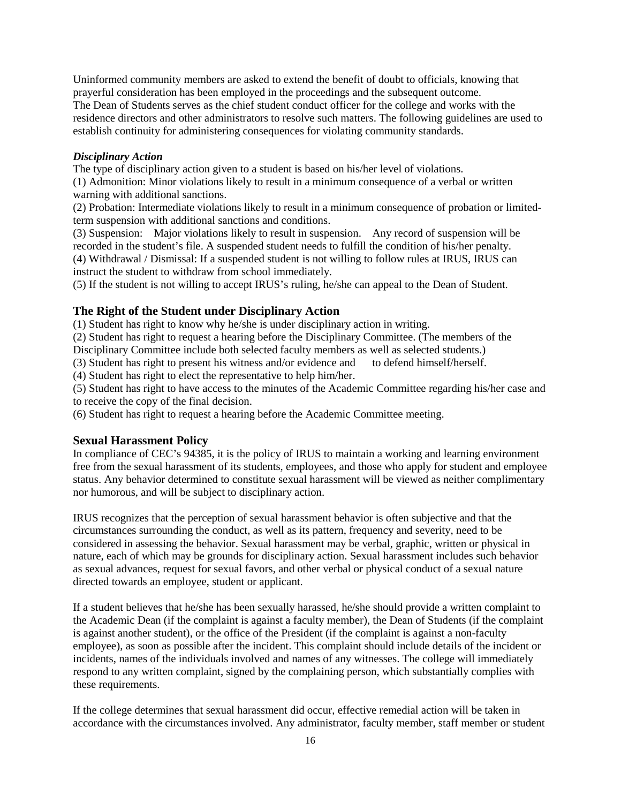Uninformed community members are asked to extend the benefit of doubt to officials, knowing that prayerful consideration has been employed in the proceedings and the subsequent outcome. The Dean of Students serves as the chief student conduct officer for the college and works with the residence directors and other administrators to resolve such matters. The following guidelines are used to establish continuity for administering consequences for violating community standards.

### *Disciplinary Action*

The type of disciplinary action given to a student is based on his/her level of violations.

(1) Admonition: Minor violations likely to result in a minimum consequence of a verbal or written warning with additional sanctions.

(2) Probation: Intermediate violations likely to result in a minimum consequence of probation or limitedterm suspension with additional sanctions and conditions.

(3) Suspension: Major violations likely to result in suspension. Any record of suspension will be recorded in the student's file. A suspended student needs to fulfill the condition of his/her penalty. (4) Withdrawal / Dismissal: If a suspended student is not willing to follow rules at IRUS, IRUS can

instruct the student to withdraw from school immediately. (5) If the student is not willing to accept IRUS's ruling, he/she can appeal to the Dean of Student.

## <span id="page-15-0"></span>**The Right of the Student under Disciplinary Action**

(1) Student has right to know why he/she is under disciplinary action in writing.

(2) Student has right to request a hearing before the Disciplinary Committee. (The members of the

Disciplinary Committee include both selected faculty members as well as selected students.)

(3) Student has right to present his witness and/or evidence and to defend himself/herself.

(4) Student has right to elect the representative to help him/her.

(5) Student has right to have access to the minutes of the Academic Committee regarding his/her case and to receive the copy of the final decision.

(6) Student has right to request a hearing before the Academic Committee meeting.

## <span id="page-15-1"></span>**Sexual Harassment Policy**

In compliance of CEC's 94385, it is the policy of IRUS to maintain a working and learning environment free from the sexual harassment of its students, employees, and those who apply for student and employee status. Any behavior determined to constitute sexual harassment will be viewed as neither complimentary nor humorous, and will be subject to disciplinary action.

IRUS recognizes that the perception of sexual harassment behavior is often subjective and that the circumstances surrounding the conduct, as well as its pattern, frequency and severity, need to be considered in assessing the behavior. Sexual harassment may be verbal, graphic, written or physical in nature, each of which may be grounds for disciplinary action. Sexual harassment includes such behavior as sexual advances, request for sexual favors, and other verbal or physical conduct of a sexual nature directed towards an employee, student or applicant.

If a student believes that he/she has been sexually harassed, he/she should provide a written complaint to the Academic Dean (if the complaint is against a faculty member), the Dean of Students (if the complaint is against another student), or the office of the President (if the complaint is against a non-faculty employee), as soon as possible after the incident. This complaint should include details of the incident or incidents, names of the individuals involved and names of any witnesses. The college will immediately respond to any written complaint, signed by the complaining person, which substantially complies with these requirements.

If the college determines that sexual harassment did occur, effective remedial action will be taken in accordance with the circumstances involved. Any administrator, faculty member, staff member or student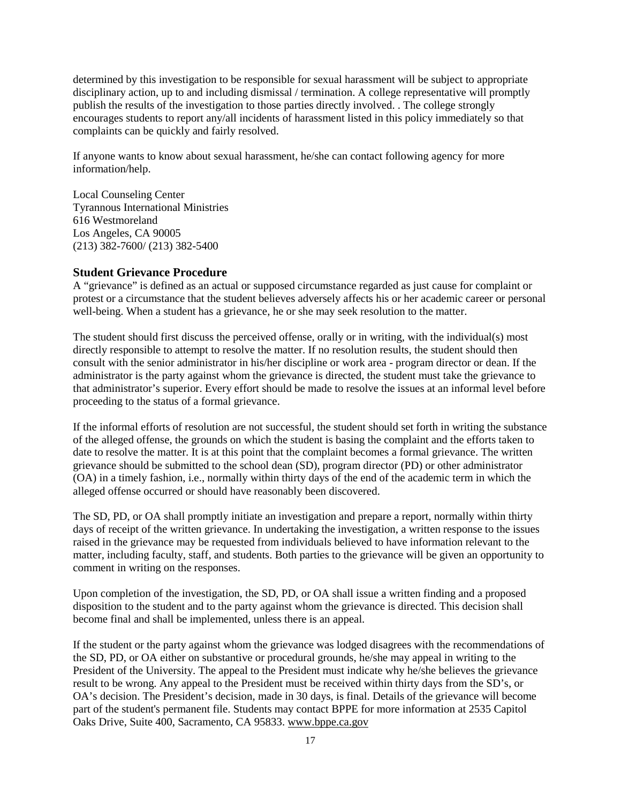determined by this investigation to be responsible for sexual harassment will be subject to appropriate disciplinary action, up to and including dismissal / termination. A college representative will promptly publish the results of the investigation to those parties directly involved. . The college strongly encourages students to report any/all incidents of harassment listed in this policy immediately so that complaints can be quickly and fairly resolved.

If anyone wants to know about sexual harassment, he/she can contact following agency for more information/help.

Local Counseling Center Tyrannous International Ministries 616 Westmoreland Los Angeles, CA 90005 (213) 382-7600/ (213) 382-5400

### <span id="page-16-0"></span>**Student Grievance Procedure**

A "grievance" is defined as an actual or supposed circumstance regarded as just cause for complaint or protest or a circumstance that the student believes adversely affects his or her academic career or personal well-being. When a student has a grievance, he or she may seek resolution to the matter.

The student should first discuss the perceived offense, orally or in writing, with the individual(s) most directly responsible to attempt to resolve the matter. If no resolution results, the student should then consult with the senior administrator in his/her discipline or work area - program director or dean. If the administrator is the party against whom the grievance is directed, the student must take the grievance to that administrator's superior. Every effort should be made to resolve the issues at an informal level before proceeding to the status of a formal grievance.

If the informal efforts of resolution are not successful, the student should set forth in writing the substance of the alleged offense, the grounds on which the student is basing the complaint and the efforts taken to date to resolve the matter. It is at this point that the complaint becomes a formal grievance. The written grievance should be submitted to the school dean (SD), program director (PD) or other administrator (OA) in a timely fashion, i.e., normally within thirty days of the end of the academic term in which the alleged offense occurred or should have reasonably been discovered.

The SD, PD, or OA shall promptly initiate an investigation and prepare a report, normally within thirty days of receipt of the written grievance. In undertaking the investigation, a written response to the issues raised in the grievance may be requested from individuals believed to have information relevant to the matter, including faculty, staff, and students. Both parties to the grievance will be given an opportunity to comment in writing on the responses.

Upon completion of the investigation, the SD, PD, or OA shall issue a written finding and a proposed disposition to the student and to the party against whom the grievance is directed. This decision shall become final and shall be implemented, unless there is an appeal.

If the student or the party against whom the grievance was lodged disagrees with the recommendations of the SD, PD, or OA either on substantive or procedural grounds, he/she may appeal in writing to the President of the University. The appeal to the President must indicate why he/she believes the grievance result to be wrong. Any appeal to the President must be received within thirty days from the SD's, or OA's decision. The President's decision, made in 30 days, is final. Details of the grievance will become part of the student's permanent file. Students may contact BPPE for more information at 2535 Capitol Oaks Drive, Suite 400, Sacramento, CA 95833[. www.bppe.ca.gov](http://www.bppe.ca.gov/)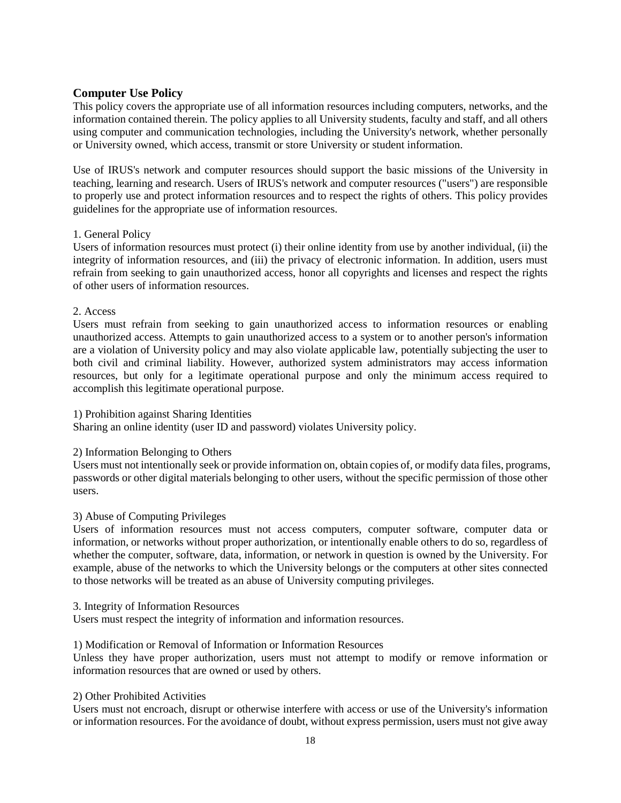## <span id="page-17-0"></span>**Computer Use Policy**

This policy covers the appropriate use of all information resources including computers, networks, and the information contained therein. The policy applies to all University students, faculty and staff, and all others using computer and communication technologies, including the University's network, whether personally or University owned, which access, transmit or store University or student information.

Use of IRUS's network and computer resources should support the basic missions of the University in teaching, learning and research. Users of IRUS's network and computer resources ("users") are responsible to properly use and protect information resources and to respect the rights of others. This policy provides guidelines for the appropriate use of information resources.

### 1. General Policy

Users of information resources must protect (i) their online identity from use by another individual, (ii) the integrity of information resources, and (iii) the privacy of electronic information. In addition, users must refrain from seeking to gain unauthorized access, honor all copyrights and licenses and respect the rights of other users of information resources.

### 2. Access

Users must refrain from seeking to gain unauthorized access to information resources or enabling unauthorized access. Attempts to gain unauthorized access to a system or to another person's information are a violation of University policy and may also violate applicable law, potentially subjecting the user to both civil and criminal liability. However, authorized system administrators may access information resources, but only for a legitimate operational purpose and only the minimum access required to accomplish this legitimate operational purpose.

## 1) Prohibition against Sharing Identities

Sharing an online identity (user ID and password) violates University policy.

## 2) Information Belonging to Others

Users must not intentionally seek or provide information on, obtain copies of, or modify data files, programs, passwords or other digital materials belonging to other users, without the specific permission of those other users.

## 3) Abuse of Computing Privileges

Users of information resources must not access computers, computer software, computer data or information, or networks without proper authorization, or intentionally enable others to do so, regardless of whether the computer, software, data, information, or network in question is owned by the University. For example, abuse of the networks to which the University belongs or the computers at other sites connected to those networks will be treated as an abuse of University computing privileges.

#### 3. Integrity of Information Resources

Users must respect the integrity of information and information resources.

#### 1) Modification or Removal of Information or Information Resources

Unless they have proper authorization, users must not attempt to modify or remove information or information resources that are owned or used by others.

#### 2) Other Prohibited Activities

Users must not encroach, disrupt or otherwise interfere with access or use of the University's information or information resources. For the avoidance of doubt, without express permission, users must not give away